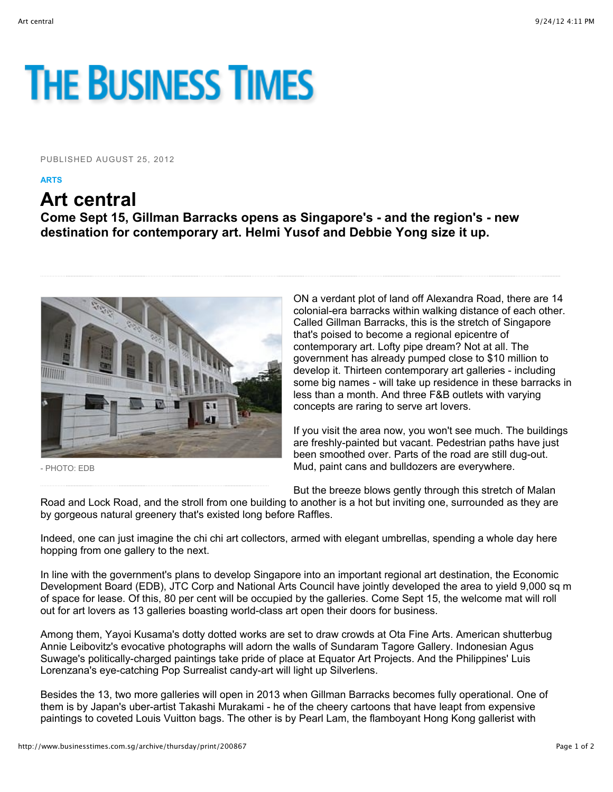## **THE BUSINESS TIMES**

PUBLISHED AUGUST 25, 2012

**ARTS**

## **Art central**

**Come Sept 15, Gillman Barracks opens as Singapore's - and the region's - new destination for contemporary art. Helmi Yusof and Debbie Yong size it up.**



- PHOTO: EDB

ON a verdant plot of land off Alexandra Road, there are 14 colonial-era barracks within walking distance of each other. Called Gillman Barracks, this is the stretch of Singapore that's poised to become a regional epicentre of contemporary art. Lofty pipe dream? Not at all. The government has already pumped close to \$10 million to develop it. Thirteen contemporary art galleries - including some big names - will take up residence in these barracks in less than a month. And three F&B outlets with varying concepts are raring to serve art lovers.

If you visit the area now, you won't see much. The buildings are freshly-painted but vacant. Pedestrian paths have just been smoothed over. Parts of the road are still dug-out. Mud, paint cans and bulldozers are everywhere.

But the breeze blows gently through this stretch of Malan

Road and Lock Road, and the stroll from one building to another is a hot but inviting one, surrounded as they are by gorgeous natural greenery that's existed long before Raffles.

Indeed, one can just imagine the chi chi art collectors, armed with elegant umbrellas, spending a whole day here hopping from one gallery to the next.

In line with the government's plans to develop Singapore into an important regional art destination, the Economic Development Board (EDB), JTC Corp and National Arts Council have jointly developed the area to yield 9,000 sq m of space for lease. Of this, 80 per cent will be occupied by the galleries. Come Sept 15, the welcome mat will roll out for art lovers as 13 galleries boasting world-class art open their doors for business.

Among them, Yayoi Kusama's dotty dotted works are set to draw crowds at Ota Fine Arts. American shutterbug Annie Leibovitz's evocative photographs will adorn the walls of Sundaram Tagore Gallery. Indonesian Agus Suwage's politically-charged paintings take pride of place at Equator Art Projects. And the Philippines' Luis Lorenzana's eye-catching Pop Surrealist candy-art will light up Silverlens.

Besides the 13, two more galleries will open in 2013 when Gillman Barracks becomes fully operational. One of them is by Japan's uber-artist Takashi Murakami - he of the cheery cartoons that have leapt from expensive paintings to coveted Louis Vuitton bags. The other is by Pearl Lam, the flamboyant Hong Kong gallerist with